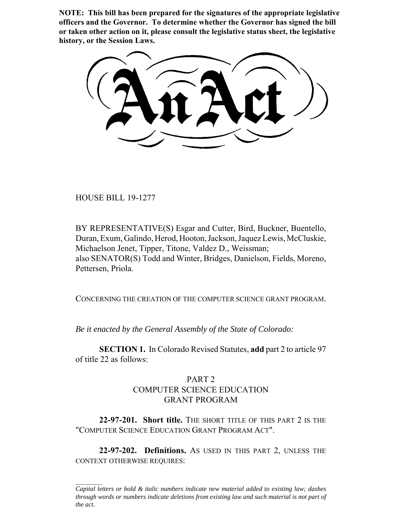**NOTE: This bill has been prepared for the signatures of the appropriate legislative officers and the Governor. To determine whether the Governor has signed the bill or taken other action on it, please consult the legislative status sheet, the legislative history, or the Session Laws.**

HOUSE BILL 19-1277

BY REPRESENTATIVE(S) Esgar and Cutter, Bird, Buckner, Buentello, Duran, Exum, Galindo, Herod, Hooton, Jackson, Jaquez Lewis, McCluskie, Michaelson Jenet, Tipper, Titone, Valdez D., Weissman; also SENATOR(S) Todd and Winter, Bridges, Danielson, Fields, Moreno, Pettersen, Priola.

CONCERNING THE CREATION OF THE COMPUTER SCIENCE GRANT PROGRAM.

*Be it enacted by the General Assembly of the State of Colorado:*

**SECTION 1.** In Colorado Revised Statutes, **add** part 2 to article 97 of title 22 as follows:

## PART 2 COMPUTER SCIENCE EDUCATION GRANT PROGRAM

**22-97-201. Short title.** THE SHORT TITLE OF THIS PART 2 IS THE "COMPUTER SCIENCE EDUCATION GRANT PROGRAM ACT".

**22-97-202. Definitions.** AS USED IN THIS PART 2, UNLESS THE CONTEXT OTHERWISE REQUIRES:

*Capital letters or bold & italic numbers indicate new material added to existing law; dashes through words or numbers indicate deletions from existing law and such material is not part of the act.*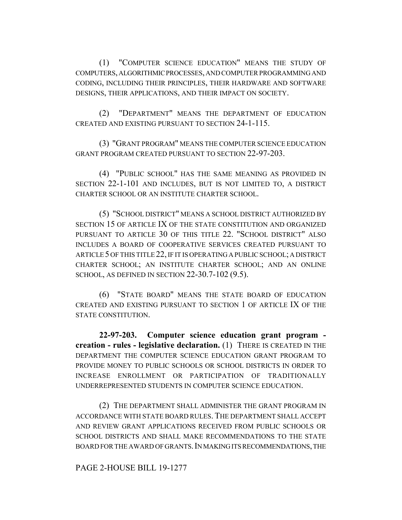(1) "COMPUTER SCIENCE EDUCATION" MEANS THE STUDY OF COMPUTERS, ALGORITHMIC PROCESSES, AND COMPUTER PROGRAMMING AND CODING, INCLUDING THEIR PRINCIPLES, THEIR HARDWARE AND SOFTWARE DESIGNS, THEIR APPLICATIONS, AND THEIR IMPACT ON SOCIETY.

(2) "DEPARTMENT" MEANS THE DEPARTMENT OF EDUCATION CREATED AND EXISTING PURSUANT TO SECTION 24-1-115.

(3) "GRANT PROGRAM" MEANS THE COMPUTER SCIENCE EDUCATION GRANT PROGRAM CREATED PURSUANT TO SECTION 22-97-203.

(4) "PUBLIC SCHOOL" HAS THE SAME MEANING AS PROVIDED IN SECTION 22-1-101 AND INCLUDES, BUT IS NOT LIMITED TO, A DISTRICT CHARTER SCHOOL OR AN INSTITUTE CHARTER SCHOOL.

(5) "SCHOOL DISTRICT" MEANS A SCHOOL DISTRICT AUTHORIZED BY SECTION 15 OF ARTICLE IX OF THE STATE CONSTITUTION AND ORGANIZED PURSUANT TO ARTICLE 30 OF THIS TITLE 22. "SCHOOL DISTRICT" ALSO INCLUDES A BOARD OF COOPERATIVE SERVICES CREATED PURSUANT TO ARTICLE 5 OF THIS TITLE 22, IF IT IS OPERATING A PUBLIC SCHOOL; A DISTRICT CHARTER SCHOOL; AN INSTITUTE CHARTER SCHOOL; AND AN ONLINE SCHOOL, AS DEFINED IN SECTION 22-30.7-102 (9.5).

(6) "STATE BOARD" MEANS THE STATE BOARD OF EDUCATION CREATED AND EXISTING PURSUANT TO SECTION 1 OF ARTICLE IX OF THE STATE CONSTITUTION.

**22-97-203. Computer science education grant program creation - rules - legislative declaration.** (1) THERE IS CREATED IN THE DEPARTMENT THE COMPUTER SCIENCE EDUCATION GRANT PROGRAM TO PROVIDE MONEY TO PUBLIC SCHOOLS OR SCHOOL DISTRICTS IN ORDER TO INCREASE ENROLLMENT OR PARTICIPATION OF TRADITIONALLY UNDERREPRESENTED STUDENTS IN COMPUTER SCIENCE EDUCATION.

(2) THE DEPARTMENT SHALL ADMINISTER THE GRANT PROGRAM IN ACCORDANCE WITH STATE BOARD RULES. THE DEPARTMENT SHALL ACCEPT AND REVIEW GRANT APPLICATIONS RECEIVED FROM PUBLIC SCHOOLS OR SCHOOL DISTRICTS AND SHALL MAKE RECOMMENDATIONS TO THE STATE BOARD FOR THE AWARD OF GRANTS.IN MAKING ITS RECOMMENDATIONS, THE

PAGE 2-HOUSE BILL 19-1277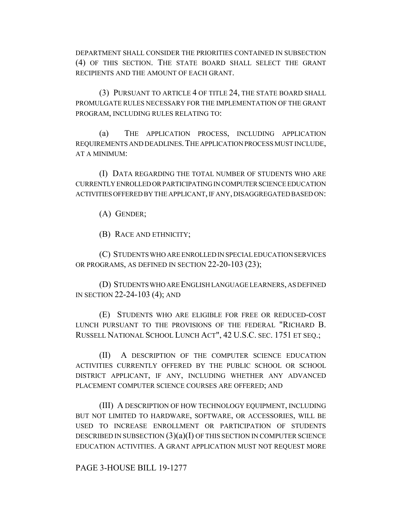DEPARTMENT SHALL CONSIDER THE PRIORITIES CONTAINED IN SUBSECTION (4) OF THIS SECTION. THE STATE BOARD SHALL SELECT THE GRANT RECIPIENTS AND THE AMOUNT OF EACH GRANT.

(3) PURSUANT TO ARTICLE 4 OF TITLE 24, THE STATE BOARD SHALL PROMULGATE RULES NECESSARY FOR THE IMPLEMENTATION OF THE GRANT PROGRAM, INCLUDING RULES RELATING TO:

(a) THE APPLICATION PROCESS, INCLUDING APPLICATION REQUIREMENTS AND DEADLINES.THE APPLICATION PROCESS MUST INCLUDE, AT A MINIMUM:

(I) DATA REGARDING THE TOTAL NUMBER OF STUDENTS WHO ARE CURRENTLY ENROLLED OR PARTICIPATING IN COMPUTER SCIENCE EDUCATION ACTIVITIES OFFERED BY THE APPLICANT, IF ANY, DISAGGREGATED BASED ON:

(A) GENDER;

(B) RACE AND ETHNICITY;

(C) STUDENTS WHO ARE ENROLLED IN SPECIAL EDUCATION SERVICES OR PROGRAMS, AS DEFINED IN SECTION 22-20-103 (23);

(D) STUDENTS WHO ARE ENGLISH LANGUAGE LEARNERS, AS DEFINED IN SECTION 22-24-103 (4); AND

(E) STUDENTS WHO ARE ELIGIBLE FOR FREE OR REDUCED-COST LUNCH PURSUANT TO THE PROVISIONS OF THE FEDERAL "RICHARD B. RUSSELL NATIONAL SCHOOL LUNCH ACT", 42 U.S.C. SEC. 1751 ET SEQ.;

(II) A DESCRIPTION OF THE COMPUTER SCIENCE EDUCATION ACTIVITIES CURRENTLY OFFERED BY THE PUBLIC SCHOOL OR SCHOOL DISTRICT APPLICANT, IF ANY, INCLUDING WHETHER ANY ADVANCED PLACEMENT COMPUTER SCIENCE COURSES ARE OFFERED; AND

(III) A DESCRIPTION OF HOW TECHNOLOGY EQUIPMENT, INCLUDING BUT NOT LIMITED TO HARDWARE, SOFTWARE, OR ACCESSORIES, WILL BE USED TO INCREASE ENROLLMENT OR PARTICIPATION OF STUDENTS DESCRIBED IN SUBSECTION  $(3)(a)(I)$  OF THIS SECTION IN COMPUTER SCIENCE EDUCATION ACTIVITIES. A GRANT APPLICATION MUST NOT REQUEST MORE

PAGE 3-HOUSE BILL 19-1277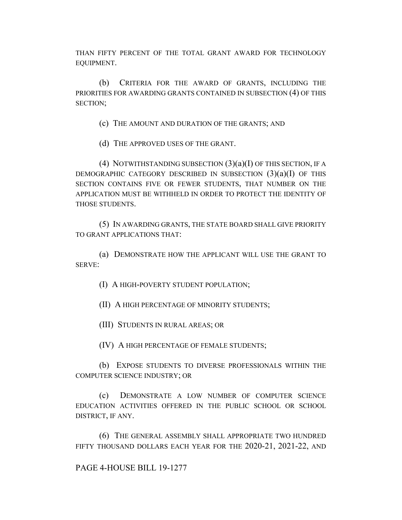THAN FIFTY PERCENT OF THE TOTAL GRANT AWARD FOR TECHNOLOGY EQUIPMENT.

(b) CRITERIA FOR THE AWARD OF GRANTS, INCLUDING THE PRIORITIES FOR AWARDING GRANTS CONTAINED IN SUBSECTION (4) OF THIS SECTION;

(c) THE AMOUNT AND DURATION OF THE GRANTS; AND

(d) THE APPROVED USES OF THE GRANT.

(4) NOTWITHSTANDING SUBSECTION  $(3)(a)(I)$  OF THIS SECTION, IF A DEMOGRAPHIC CATEGORY DESCRIBED IN SUBSECTION  $(3)(a)(I)$  OF THIS SECTION CONTAINS FIVE OR FEWER STUDENTS, THAT NUMBER ON THE APPLICATION MUST BE WITHHELD IN ORDER TO PROTECT THE IDENTITY OF THOSE STUDENTS.

(5) IN AWARDING GRANTS, THE STATE BOARD SHALL GIVE PRIORITY TO GRANT APPLICATIONS THAT:

(a) DEMONSTRATE HOW THE APPLICANT WILL USE THE GRANT TO SERVE:

(I) A HIGH-POVERTY STUDENT POPULATION;

(II) A HIGH PERCENTAGE OF MINORITY STUDENTS;

(III) STUDENTS IN RURAL AREAS; OR

(IV) A HIGH PERCENTAGE OF FEMALE STUDENTS;

(b) EXPOSE STUDENTS TO DIVERSE PROFESSIONALS WITHIN THE COMPUTER SCIENCE INDUSTRY; OR

(c) DEMONSTRATE A LOW NUMBER OF COMPUTER SCIENCE EDUCATION ACTIVITIES OFFERED IN THE PUBLIC SCHOOL OR SCHOOL DISTRICT, IF ANY.

(6) THE GENERAL ASSEMBLY SHALL APPROPRIATE TWO HUNDRED FIFTY THOUSAND DOLLARS EACH YEAR FOR THE 2020-21, 2021-22, AND

PAGE 4-HOUSE BILL 19-1277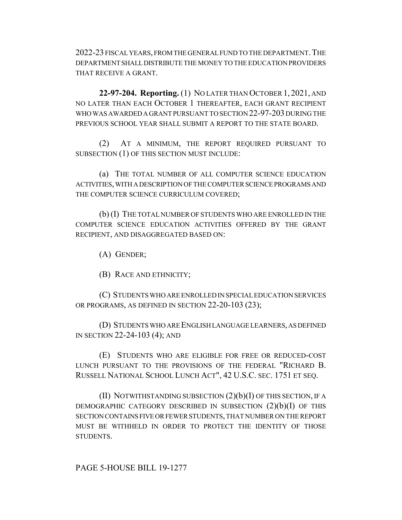2022-23 FISCAL YEARS, FROM THE GENERAL FUND TO THE DEPARTMENT. THE DEPARTMENT SHALL DISTRIBUTE THE MONEY TO THE EDUCATION PROVIDERS THAT RECEIVE A GRANT.

**22-97-204. Reporting.** (1) NO LATER THAN OCTOBER 1, 2021, AND NO LATER THAN EACH OCTOBER 1 THEREAFTER, EACH GRANT RECIPIENT WHO WAS AWARDED A GRANT PURSUANT TO SECTION 22-97-203 DURING THE PREVIOUS SCHOOL YEAR SHALL SUBMIT A REPORT TO THE STATE BOARD.

(2) AT A MINIMUM, THE REPORT REQUIRED PURSUANT TO SUBSECTION (1) OF THIS SECTION MUST INCLUDE:

(a) THE TOTAL NUMBER OF ALL COMPUTER SCIENCE EDUCATION ACTIVITIES, WITH A DESCRIPTION OF THE COMPUTER SCIENCE PROGRAMS AND THE COMPUTER SCIENCE CURRICULUM COVERED;

(b) (I) THE TOTAL NUMBER OF STUDENTS WHO ARE ENROLLED IN THE COMPUTER SCIENCE EDUCATION ACTIVITIES OFFERED BY THE GRANT RECIPIENT, AND DISAGGREGATED BASED ON:

(A) GENDER;

(B) RACE AND ETHNICITY;

(C) STUDENTS WHO ARE ENROLLED IN SPECIAL EDUCATION SERVICES OR PROGRAMS, AS DEFINED IN SECTION 22-20-103 (23);

(D) STUDENTS WHO ARE ENGLISH LANGUAGE LEARNERS, AS DEFINED IN SECTION 22-24-103 (4); AND

(E) STUDENTS WHO ARE ELIGIBLE FOR FREE OR REDUCED-COST LUNCH PURSUANT TO THE PROVISIONS OF THE FEDERAL "RICHARD B. RUSSELL NATIONAL SCHOOL LUNCH ACT", 42 U.S.C. SEC. 1751 ET SEQ.

(II) NOTWITHSTANDING SUBSECTION  $(2)(b)(I)$  OF THIS SECTION, IF A DEMOGRAPHIC CATEGORY DESCRIBED IN SUBSECTION (2)(b)(I) OF THIS SECTION CONTAINS FIVE OR FEWER STUDENTS, THAT NUMBER ON THE REPORT MUST BE WITHHELD IN ORDER TO PROTECT THE IDENTITY OF THOSE STUDENTS.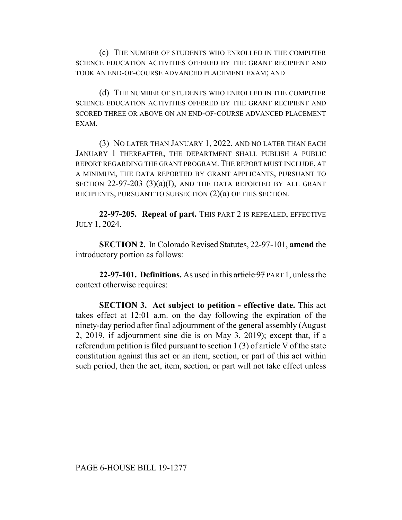(c) THE NUMBER OF STUDENTS WHO ENROLLED IN THE COMPUTER SCIENCE EDUCATION ACTIVITIES OFFERED BY THE GRANT RECIPIENT AND TOOK AN END-OF-COURSE ADVANCED PLACEMENT EXAM; AND

(d) THE NUMBER OF STUDENTS WHO ENROLLED IN THE COMPUTER SCIENCE EDUCATION ACTIVITIES OFFERED BY THE GRANT RECIPIENT AND SCORED THREE OR ABOVE ON AN END-OF-COURSE ADVANCED PLACEMENT EXAM.

(3) NO LATER THAN JANUARY 1, 2022, AND NO LATER THAN EACH JANUARY 1 THEREAFTER, THE DEPARTMENT SHALL PUBLISH A PUBLIC REPORT REGARDING THE GRANT PROGRAM. THE REPORT MUST INCLUDE, AT A MINIMUM, THE DATA REPORTED BY GRANT APPLICANTS, PURSUANT TO SECTION  $22-97-203$   $(3)(a)(I)$ , AND THE DATA REPORTED BY ALL GRANT RECIPIENTS, PURSUANT TO SUBSECTION (2)(a) OF THIS SECTION.

**22-97-205. Repeal of part.** THIS PART 2 IS REPEALED, EFFECTIVE JULY 1, 2024.

**SECTION 2.** In Colorado Revised Statutes, 22-97-101, **amend** the introductory portion as follows:

**22-97-101. Definitions.** As used in this article 97 PART 1, unless the context otherwise requires:

**SECTION 3. Act subject to petition - effective date.** This act takes effect at 12:01 a.m. on the day following the expiration of the ninety-day period after final adjournment of the general assembly (August 2, 2019, if adjournment sine die is on May 3, 2019); except that, if a referendum petition is filed pursuant to section 1 (3) of article V of the state constitution against this act or an item, section, or part of this act within such period, then the act, item, section, or part will not take effect unless